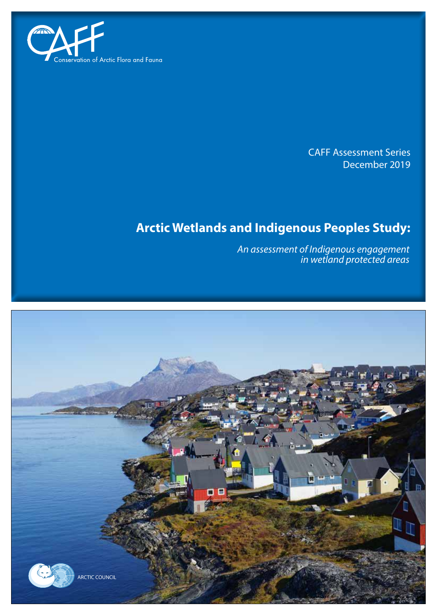

CAFF Assessment Series December 2019

# **Arctic Wetlands and Indigenous Peoples Study:**

*An assessment of Indigenous engagement in wetland protected areas*

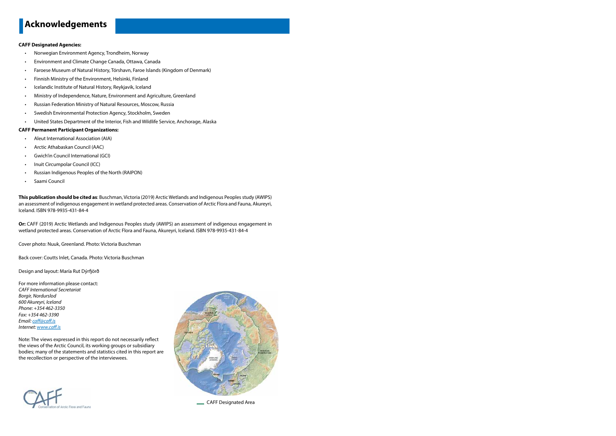#### **CAFF Designated Agencies:**

- Norwegian Environment Agency, Trondheim, Norway
- Environment and Climate Change Canada, Ottawa, Canada
- Faroese Museum of Natural History, Tórshavn, Faroe Islands (Kingdom of Denmark)
- Finnish Ministry of the Environment, Helsinki, Finland
- Icelandic Institute of Natural History, Reykjavik, Iceland
- Ministry of Independence, Nature, Environment and Agriculture, Greenland
- Russian Federation Ministry of Natural Resources, Moscow, Russia
- Swedish Environmental Protection Agency, Stockholm, Sweden
- United States Department of the Interior, Fish and Wildlife Service, Anchorage, Alaska

#### **CAFF Permanent Participant Organizations:**

- Aleut International Association (AIA)
- Arctic Athabaskan Council (AAC)
- Gwich'in Council International (GCI)
- Inuit Circumpolar Council (ICC)
- Russian Indigenous Peoples of the North (RAIPON)
- Saami Council

**This publication should be cited as**: Buschman, Victoria (2019) Arctic Wetlands and Indigenous Peoples study (AWIPS) an assessment of indigenous engagement in wetland protected areas. Conservation of Arctic Flora and Fauna, Akureyri, Iceland. ISBN 978-9935-431-84-4

**Or:** CAFF (2019) Arctic Wetlands and Indigenous Peoples study (AWIPS) an assessment of indigenous engagement in wetland protected areas. Conservation of Arctic Flora and Fauna, Akureyri, Iceland. ISBN 978-9935-431-84-4

Cover photo: Nuuk, Greenland. Photo: Victoria Buschman

Back cover: Coutts Inlet, Canada. Photo: Victoria Buschman

Design and layout: María Rut Dýrfjörð

For more information please contact: *CAFF International Secretariat Borgir, Nordurslod 600 Akureyri, Iceland Phone: +354 462-3350 Fax: +354 462-3390 Email: caff@caff.is Internet: www.caff.is*

Note: The views expressed in this report do not necessarily reflect the views of the Arctic Council, its working groups or subsidiary bodies; many of the statements and statistics cited in this report are the recollection or perspective of the interviewees.





CAFF Designated Area

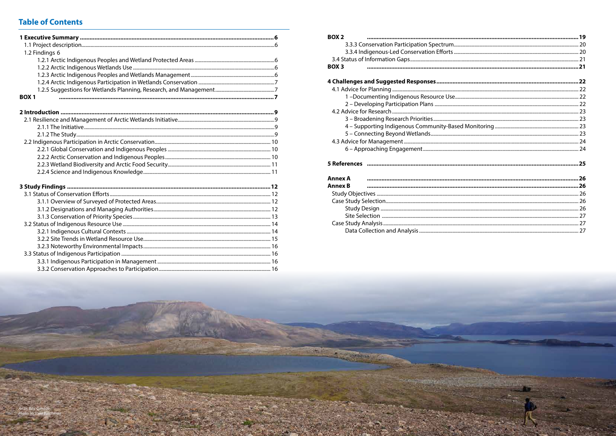# **Table of Contents**

| 1.2 Findings 6 |
|----------------|
|                |
|                |
|                |
|                |
|                |
| <b>BOX1</b>    |
|                |
|                |
|                |
|                |
|                |
|                |
|                |
|                |
|                |
|                |
|                |
|                |
|                |
|                |
|                |
|                |
|                |
|                |
|                |
|                |
|                |
|                |

| BOX <sub>2</sub> |  |  |  |  |  |  |
|------------------|--|--|--|--|--|--|
|                  |  |  |  |  |  |  |
|                  |  |  |  |  |  |  |
|                  |  |  |  |  |  |  |
| <b>BOX3</b>      |  |  |  |  |  |  |
|                  |  |  |  |  |  |  |
|                  |  |  |  |  |  |  |
|                  |  |  |  |  |  |  |
|                  |  |  |  |  |  |  |
|                  |  |  |  |  |  |  |
|                  |  |  |  |  |  |  |
|                  |  |  |  |  |  |  |
|                  |  |  |  |  |  |  |
|                  |  |  |  |  |  |  |
|                  |  |  |  |  |  |  |
|                  |  |  |  |  |  |  |
|                  |  |  |  |  |  |  |
| <b>Annex A</b>   |  |  |  |  |  |  |
| <b>Annex B</b>   |  |  |  |  |  |  |
|                  |  |  |  |  |  |  |
|                  |  |  |  |  |  |  |
|                  |  |  |  |  |  |  |
|                  |  |  |  |  |  |  |
|                  |  |  |  |  |  |  |
|                  |  |  |  |  |  |  |
|                  |  |  |  |  |  |  |

**COM**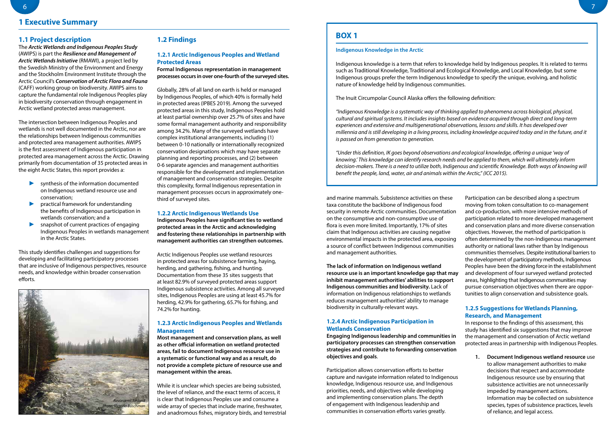## **1.1 Project description**

The *Arctic Wetlands and Indigenous Peoples Study* (AWIPS) is part the *Resilience and Management of Arctic Wetlands Initiative* (RMAWI), a project led by the Swedish Ministry of the Environment and Energy and the Stockholm Environment Institute through the Arctic Council's *Conservation of Arctic Flora and Fauna*  (CAFF) working group on biodiversity. AWIPS aims to capture the fundamental role Indigenous Peoples play in biodiversity conservation through engagement in Arctic wetland protected areas management.

The intersection between Indigenous Peoples and wetlands is not well documented in the Arctic, nor are the relationships between Indigenous communities and protected area management authorities. AWIPS is the first assessment of Indigenous participation in protected area management across the Arctic. Drawing primarily from documentation of 35 protected areas in the eight Arctic States, this report provides a:

- ► synthesis of the information documented on Indigenous wetland resource use and conservation;
- ► practical framework for understanding the benefits of Indigenous participation in wetlands conservation; and a
- snapshot of current practices of engaging Indigenous Peoples in wetlands management in the Arctic States.

This study identifies challenges and suggestions for developing and facilitating participatory processes that are inclusive of Indigenous perspectives, resource needs, and knowledge within broader conservation efforts.

## **1.2 Findings**

## **1.2.1 Arctic Indigenous Peoples and Wetland Protected Areas**

**Formal Indigenous representation in management processes occurs in over one-fourth of the surveyed sites.**

Globally, 28% of all land on earth is held or managed by Indigenous Peoples, of which 40% is formally held in protected areas (IPBES 2019). Among the surveyed protected areas in this study, Indigenous Peoples hold at least partial ownership over 25.7% of sites and have some formal management authority and responsibility among 34.2%. Many of the surveyed wetlands have complex institutional arrangements, including (1) between 0-10 nationally or internationally recognized conservation designations which may have separate planning and reporting processes, and (2) between 0-6 separate agencies and management authorities responsible for the development and implementation of management and conservation strategies. Despite this complexity, formal Indigenous representation in management processes occurs in approximately onethird of surveyed sites.

## **1.2.2 Arctic Indigenous Wetlands Use**

**Indigenous Peoples have significant ties to wetland protected areas in the Arctic and acknowledging and fostering these relationships in partnership with management authorities can strengthen outcomes.**

Arctic Indigenous Peoples use wetland resources in protected areas for subsistence farming, haying, herding, and gathering, fishing, and hunting. Documentation from these 35 sites suggests that at least 82.9% of surveyed protected areas support Indigenous subsistence activities. Among all surveyed sites, Indigenous Peoples are using at least 45.7% for herding, 42.9% for gathering, 65.7% for fishing, and 74.2% for hunting.

## **1.2.3 Arctic Indigenous Peoples and Wetlands Management**

**Most management and conservation plans, as well as other official information on wetland protected areas, fail to document Indigenous resource use in a systematic or functional way and as a result, do not provide a complete picture of resource use and management within the areas.**

While it is unclear which species are being subsisted, the level of reliance, and the exact terms of access, it is clear that Indigenous Peoples use and consume a wide array of species that include marine, freshwater, and anadromous fishes, migratory birds, and terrestrial reduces management authorities' ability to manage biodiversity in culturally-relevant ways.

## **1.2.4 Arctic Indigenous Participation in Wetlands Conservation**

**Engaging Indigenous leadership and communities in participatory processes can strengthen conservation strategies and contribute to forwarding conservation objectives and goals**.

and marine mammals. Subsistence activities on these taxa constitute the backbone of Indigenous food security in remote Arctic communities. Documentation on the consumptive and non-consumptive use of flora is even more limited. Importantly, 17% of sites claim that Indigenous activities are causing negative environmental impacts in the protected area, exposing a source of conflict between Indigenous communities and management authorities. **The lack of information on Indigenous wetland resource use is an important knowledge gap that may inhibit management authorities' abilities to support Indigenous communities and biodiversity.** Lack of information on Indigenous relationships to wetlands Participation can be described along a spectrum moving from token consultation to co-management and co-production, with more intensive methods of participation related to more developed management and conservation plans and more diverse conservation objectives. However, the method of participation is often determined by the non-Indigenous management authority or national laws rather than by Indigenous communities themselves. Despite institutional barriers to the development of participatory methods, Indigenous Peoples have been the driving force in the establishment and development of four surveyed wetland protected areas, highlighting that Indigenous communities may pursue conservation objectives when there are opportunities to align conservation and subsistence goals.

Participation allows conservation efforts to better capture and navigate information related to Indigenous knowledge, Indigenous resource use, and Indigenous priorities, needs, and objectives while developing and implementing conservation plans. The depth of engagement with Indigenous leadership and communities in conservation efforts varies greatly.

## **1.2.5 Suggestions for Wetlands Planning, Research, and Management**

In response to the findings of this assessment, this study has identified six suggestions that may improve the management and conservation of Arctic wetland protected areas in partnership with Indigenous Peoples.

**1. Document Indigenous wetland resource** use to allow management authorities to make decisions that respect and accommodate Indigenous resource use by ensuring that subsistence activities are not unnecessarily impeded by management actions. Information may be collected on subsistence species, types of subsistence practices, levels of reliance, and legal access.

## **BOX 1**

## **Indigenous Knowledge in the Arctic**

Indigenous knowledge is a term that refers to knowledge held by Indigenous peoples. It is related to terms such as Traditional Knowledge, Traditional and Ecological Knowledge, and Local Knowledge, but some Indigenous groups prefer the term Indigenous knowledge to specify the unique, evolving, and holistic nature of knowledge held by Indigenous communities.

The Inuit Circumpolar Council Alaska offers the following definition:

*"Indigenous Knowledge is a systematic way of thinking applied to phenomena across biological, physical, cultural and spiritual systems. It includes insights based on evidence acquired through direct and long-term experiences and extensive and multigenerational observations, lessons and skills. It has developed over millennia and is still developing in a living process, including knowledge acquired today and in the future, and it is passed on from generation to generation.*

*"Under this definition, IK goes beyond observations and ecological knowledge, offering a unique 'way of knowing.' This knowledge can identify research needs and be applied to them, which will ultimately inform decision-makers. There is a need to utilize both, Indigenous and scientific Knowledge. Both ways of knowing will benefit the people, land, water, air and animals within the Arctic," (ICC 2015).*

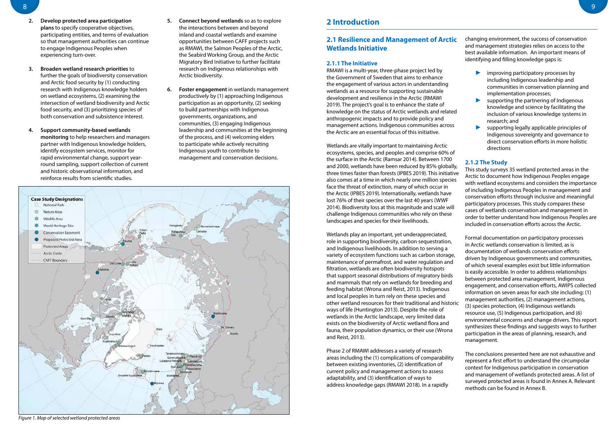## **2.1 Resilience and Management of Arctic Wetlands Initiative**

## **2.1.1 The Initiative**

RMAWI is a multi-year, three-phase project led by the Government of Sweden that aims to enhance the engagement of various actors in understanding wetlands as a resource for supporting sustainable development and resilience in the Arctic (RMAWI 2019). The project's goal is to enhance the state of knowledge on the status of Arctic wetlands and related anthropogenic impacts and to provide policy and management actions. Indigenous communities across the Arctic are an essential focus of this initiative.

Wetlands are vitally important to maintaining Arctic ecosystems, species, and peoples and comprise 60% of the surface in the Arctic (Ramsar 2014). Between 1700 and 2000, wetlands have been reduced by 85% globally, three times faster than forests (IPBES 2019). This initiative also comes at a time in which nearly one million species face the threat of extinction, many of which occur in the Arctic (IPBES 2019). Internationally, wetlands have lost 76% of their species over the last 40 years (WWF 2014). Biodiversity loss at this magnitude and scale will challenge Indigenous communities who rely on these landscapes and species for their livelihoods.

- improving participatory processes by including Indigenous leadership and communities in conservation planning and implementation processes;
- supporting the partnering of Indigenous knowledge and science by facilitating the inclusion of various knowledge systems in research; and
- supporting legally applicable principles of Indigenous sovereignty and governance to direct conservation efforts in more holistic directions

Phase 2 of RMAWI addresses a variety of research areas including the (1) complications of comparability between existing inventories, (2) identification of current policy and management actions to assess adaptability, and (3) identification of ways to address knowledge gaps (RMAWI 2018). In a rapidly

changing environment, the success of conservation and management strategies relies on access to the best available information. An important means of identifying and filling knowledge gaps is:

Wetlands play an important, yet underappreciated, role in supporting biodiversity, carbon sequestration, and Indigenous livelihoods. In addition to serving a variety of ecosystem functions such as carbon storage, maintenance of permafrost, and water regulation and filtration, wetlands are often biodiversity hotspots that support seasonal distributions of migratory birds and mammals that rely on wetlands for breeding and feeding habitat (Wrona and Reist, 2013). Indigenous and local peoples in turn rely on these species and other wetland resources for their traditional and historic ways of life (Huntington 2013). Despite the role of wetlands in the Arctic landscape, very limited data exists on the biodiversity of Arctic wetland flora and fauna, their population dynamics, or their use (Wrona and Reist, 2013). Formal documentation on participatory processes in Arctic wetlands conservation is limited, as is documentation of wetlands conservation efforts driven by Indigenous governments and communities, of which several examples exist but little information is easily accessible. In order to address relationships between protected area management, Indigenous engagement, and conservation efforts, AWIPS collected information on seven areas for each site including: (1) management authorities, (2) management actions, (3) species protection, (4) Indigenous wetlands resource use, (5) Indigenous participation, and (6) environmental concerns and change drivers. This report synthesizes these findings and suggests ways to further participation in the areas of planning, research, and management.

## **2.1.2 The Study**

This study surveys 35 wetland protected areas in the Arctic to document how Indigenous Peoples engage with wetland ecosystems and considers the importance of including Indigenous Peoples in management and conservation efforts through inclusive and meaningful participatory processes. This study compares these cases of wetlands conservation and management in order to better understand how Indigenous Peoples are included in conservation efforts across the Arctic.

The conclusions presented here are not exhaustive and represent a first effort to understand the circumpolar context for Indigenous participation in conservation and management of wetlands protected areas. A list of surveyed protected areas is found in Annex A. Relevant methods can be found in Annex B.

- **2. Develop protected area participation plans** to specify cooperative objectives, participating entities, and terms of evaluation so that management authorities can continue to engage Indigenous Peoples when experiencing turn-over.
- **3. Broaden wetland research priorities** to further the goals of biodiversity conservation and Arctic food security by (1) conducting research with Indigenous knowledge holders on wetland ecosystems, (2) examining the intersection of wetland biodiversity and Arctic food security, and (3) prioritizing species of both conservation and subsistence interest.
- **4. Support community-based wetlands monitoring** to help researchers and managers partner with Indigenous knowledge holders, identify ecosystem services, monitor for rapid environmental change, support yearround sampling, support collection of current and historic observational information, and reinforce results from scientific studies.
- **5. Connect beyond wetlands** so as to explore the interactions between and beyond inland and coastal wetlands and examine opportunities between CAFF projects such as RMAWI, the Salmon Peoples of the Arctic, the Seabird Working Group, and the Arctic Migratory Bird Initiative to further facilitate research on Indigenous relationships with Arctic biodiversity.
- **6. Foster engagement** in wetlands management productively by (1) approaching Indigenous participation as an opportunity, (2) seeking to build partnerships with Indigenous governments, organizations, and communities, (3) engaging Indigenous leadership and communities at the beginning of the process, and (4) welcoming elders to participate while actively recruiting Indigenous youth to contribute to management and conservation decisions.



*Figure 1. Map of selected wetland protected areas*

## **2 Introduction**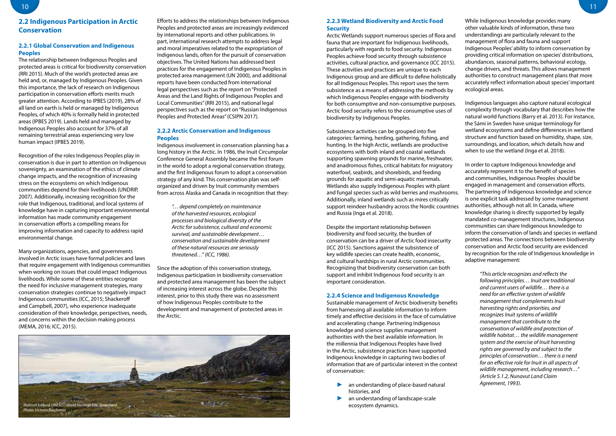## **2.2.3 Wetland Biodiversity and Arctic Food Security**

Arctic Wetlands support numerous species of flora and fauna that are important for Indigenous livelihoods, particularly with regards to food security. Indigenous Peoples achieve food security through subsistence activities, cultural practice, and governance (ICC 2015). These activities and practices are unique to each Indigenous group and are difficult to define holistically for all Indigenous Peoples. This report uses the term subsistence as a means of addressing the methods by which Indigenous Peoples engage with biodiversity for both consumptive and non-consumptive purposes. Arctic food security refers to the consumptive uses of biodiversity by Indigenous Peoples.

Subsistence activities can be grouped into five categories: farming, herding, gathering, fishing, and hunting. In the high Arctic, wetlands are productive ecosystems with both inland and coastal wetlands supporting spawning grounds for marine, freshwater, and anadromous fishes, critical habitats for migratory waterfowl, seabirds, and shorebirds, and feeding grounds for aquatic and semi-aquatic mammals. Wetlands also supply Indigenous Peoples with plant and fungal species such as wild berries and mushrooms. Additionally, inland wetlands such as mires critically support reindeer husbandry across the Nordic countries and Russia (Inga et al. 2018).

- an understanding of place-based natural histories, and
- an understanding of landscape-scale ecosystem dynamics.

Despite the important relationship between biodiversity and food security, the burden of conservation can be a driver of Arctic food insecurity (ICC 2015). Sanctions against the subsistence of key wildlife species can create health, economic, and cultural hardships in rural Arctic communities. Recognizing that biodiversity conservation can both support and inhibit Indigenous food security is an important consideration.

## **2.2.4 Science and Indigenous Knowledge**

Sustainable management of Arctic biodiversity benefits from harnessing all available information to inform timely and effective decisions in the face of cumulative and accelerating change. Partnering Indigenous knowledge and science supplies management authorities with the best available information. In the millennia that Indigenous Peoples have lived in the Arctic, subsistence practices have supported Indigenous knowledge in capturing two bodies of information that are of particular interest in the context of conservation:

While Indigenous knowledge provides many other valuable kinds of information, these two understandings are particularly relevant to the management of flora and fauna and support Indigenous Peoples' ability to inform conservation by providing critical information on species' distributions, abundances, seasonal patterns, behavioral ecology, change drivers, and threats. This allows management authorities to construct management plans that more accurately reflect information about species' important ecological areas.

Indigenous languages also capture natural ecological complexity through vocabulary that describes how the natural world functions (Barry et al. 2013). For instance, the Sámi in Sweden have unique terminology for wetland ecosystems and define differences in wetland structure and function based on humidity, shape, size, surroundings, and location, which details how and when to use the wetland (Inga et al. 2018).

In order to capture Indigenous knowledge and accurately represent it to the benefit of species and communities, Indigenous Peoples should be engaged in management and conservation efforts. The partnering of Indigenous knowledge and science is one explicit task addressed by some management authorities, although not all. In Canada, where knowledge sharing is directly supported by legally mandated co-management structures, Indigenous communities can share Indigenous knowledge to inform the conservation of lands and species in wetland protected areas. The connections between biodiversity conservation and Arctic food security are evidenced by recognition for the role of Indigenous knowledge in adaptive management:

> *"This article recognizes and reflects the following principles… Inuit are traditional and current users of wildlife… there is a need for an effective system of wildlife management that complements Inuit harvesting rights and priorities, and recognizes Inuit systems of wildlife management that contribute to the conservation of wildlife and protection of wildlife habitat… the wildlife management system and the exercise of Inuit harvesting rights are governed by and subject to the principles of conservation… there is a need for an effective role for Inuit in all aspects of wildlife management, including research…" (Article 5.1.2, Nunavut Land Claim Agreement, 1993).*

## **2.2 Indigenous Participation in Arctic Conservation**

## **2.2.1 Global Conservation and Indigenous Peoples**

The relationship between Indigenous Peoples and protected areas is critical for biodiversity conservation (RRI 2015). Much of the world's protected areas are held and, or, managed by Indigenous Peoples. Given this importance, the lack of research on Indigenous participation in conservation efforts merits much greater attention. According to IPBES (2019), 28% of all land on earth is held or managed by Indigenous Peoples, of which 40% is formally held in protected areas (IPBES 2019). Lands held and managed by Indigenous Peoples also account for 37% of all remaining terrestrial areas experiencing very low human impact (IPBES 2019).

Recognition of the roles Indigenous Peoples play in conservation is due in part to attention on Indigenous sovereignty, an examination of the ethics of climate change impacts, and the recognition of increasing stress on the ecosystems on which Indigenous communities depend for their livelihoods (UNDRIP, 2007). Additionally, increasing recognition for the role that Indigenous, traditional, and local systems of knowledge have in capturing important environmental information has made community engagement in conservation efforts a compelling means for improving information and capacity to address rapid environmental change.

Many organizations, agencies, and governments involved in Arctic issues have formal policies and laws that require engagement with Indigenous communities when working on issues that could impact Indigenous livelihoods. While some of these entities recognize the need for inclusive management strategies, many conservation strategies continue to negatively impact Indigenous communities (ICC, 2015; Shackeroff and Campbell, 2007), who experience inadequate consideration of their knowledge, perspectives, needs, and concerns within the decision making process (MEMA, 2016; ICC, 2015).

Efforts to address the relationships between Indigenous Peoples and protected areas are increasingly evidenced by international reports and other publications. In part, international research attempts to address legal and moral imperatives related to the expropriation of Indigenous lands, often for the pursuit of conservation objectives. The United Nations has addressed best practices for the engagement of Indigenous Peoples in protected area management (UN 2000), and additional reports have been conducted from international legal perspectives such as the report on "Protected Areas and the Land Rights of Indigenous Peoples and Local Communities" (RRI 2015), and national legal perspectives such as the report on "Russian Indigenous Peoples and Protected Areas" (CSIPN 2017).

## **2.2.2 Arctic Conservation and Indigenous Peoples**

Indigenous involvement in conservation planning has a long history in the Arctic. In 1986, the Inuit Circumpolar Conference General Assembly became the first forum in the world to adopt a regional conservation strategy, and the first Indigenous forum to adopt a conservation strategy of any kind. This conservation plan was selforganized and driven by Inuit community members from across Alaska and Canada in recognition that they:

> *"… depend completely on maintenance of the harvested resources, ecological processes and biological diversity of the Arctic for subsistence, cultural and economic survival, and sustainable development… conservation and sustainable development of these natural resources are seriously threatened…" (ICC, 1986).*

Since the adoption of this conservation strategy, Indigenous participation in biodiversity conservation and protected area management has been the subject of increasing interest across the globe. Despite this interest, prior to this study there was no assessment of how Indigenous Peoples contribute to the development and management of protected areas in the Arctic.

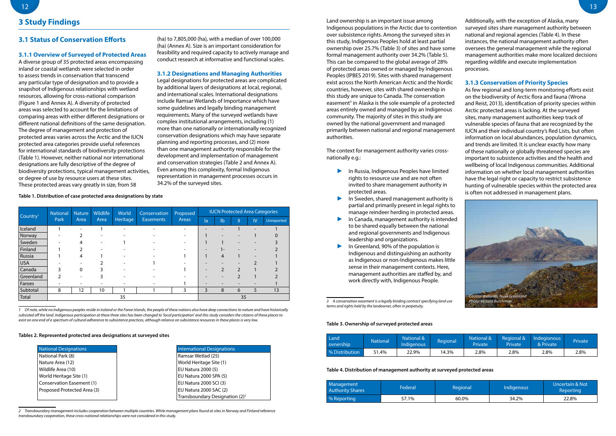Land ownership is an important issue among Indigenous populations in the Arctic due to contention over subsistence rights. Among the surveyed sites in this study, Indigenous Peoples hold at least partial ownership over 25.7% (Table 3) of sites and have some formal management authority over 34.2% (Table 5). This can be compared to the global average of 28% of protected areas owned or managed by Indigenous Peoples (IPBES 2019). Sites with shared management exist across the North American Arctic and the Nordic countries, however, sites with shared ownership in this study are unique to Canada. The conservation easement<sup>3</sup> in Alaska is the sole example of a protected areas entirely owned and managed by an Indigenous community. The majority of sites in this study are owned by the national government and managed primarily between national and regional management authorities.

The context for management authority varies crossnationally e.g.:

- ► In Russia, Indigenous Peoples have limited rights to resource use and are not often invited to share management authority in protected areas.
- In Sweden, shared management authority is partial and primarily present in legal rights to manage reindeer herding in protected areas.
- In Canada, management authority is intended to be shared equally between the national and regional governments and Indigenous leadership and organizations.
- In Greenland, 90% of the population is Indigenous and distinguishing an authority as Indigenous or non-Indigenous makes little sense in their management contexts. Here, management authorities are staffed by, and work directly with, Indigenous People.

Additionally, with the exception of Alaska, many surveyed sites share management authority between national and regional agencies (Table 4). In these instances, the national management authority often oversees the general management while the regional management authorities make more localized decisions regarding wildlife and execute implementation processes.

## **3.1.3 Conservation of Priority Species**

As few regional and long-term monitoring efforts exist on the biodiversity of Arctic flora and fauna (Wrona and Reist, 2013), identification of priority species within Arctic protected areas is lacking. At the surveyed sites, many management authorities keep track of vulnerable species of fauna that are recognized by the IUCN and their individual country's Red Lists, but often information on local abundances, population dynamics, and trends are limited. It is unclear exactly how many of these nationally or globally threatened species are important to subsistence activities and the health and wellbeing of local Indigenous communities. Additional information on whether local management authorities have the legal right or capacity to restrict subsistence hunting of vulnerable species within the protected area is often not addressed in management plans.

## **3.1 Status of Conservation Efforts**

## **3.1.1 Overview of Surveyed of Protected Areas**

A diverse group of 35 protected areas encompassing inland or coastal wetlands were selected in order to assess trends in conservation that transcend any particular type of designation and to provide a snapshot of Indigenous relationships with wetland resources, allowing for cross-national comparison (Figure 1 and Annex A). A diversity of protected areas was selected to account for the limitations of comparing areas with either different designations or different national definitions of the same designation. The degree of management and protection of protected areas varies across the Arctic and the IUCN protected area categories provide useful references for international standards of biodiversity protections (Table 1). However, neither national nor international designations are fully descriptive of the degree of biodiversity protections, typical management activities, or degree of use by resource users at these sites. These protected areas vary greatly in size, from 58

(ha) to 7,805,000 (ha), with a median of over 100,000 (ha) (Annex A). Size is an important consideration for feasibility and required capacity to actively manage and conduct research at informative and functional scales.

#### **3.1.2 Designations and Managing Authorities**

Legal designations for protected areas are complicated by additional layers of designations at local, regional, and international scales. International designations include Ramsar Wetlands of Importance which have some guidelines and legally binding management requirements. Many of the surveyed wetlands have complex institutional arrangements, including (1) more than one nationally or internationally recognized conservation designations which may have separate planning and reporting processes, and (2) more than one management authority responsible for the development and implementation of management and conservation strategies (Table 2 and Annex A). Even among this complexity, formal Indigenous representation in management processes occurs in 34.2% of the surveyed sites.

**Table 1. Distribution of case protected area designations by state**

|                      | <b>National</b> | <b>Nature</b> | Wildlife | World<br>Conservation    |                                  | Proposed |                          |                |                |    | <b>IUCN Protected Area Categories</b> |
|----------------------|-----------------|---------------|----------|--------------------------|----------------------------------|----------|--------------------------|----------------|----------------|----|---------------------------------------|
| Country <sup>1</sup> | Park            | Area          | Area     | Heritage                 | <b>Easements</b><br><b>Areas</b> |          | la                       | $\mathsf{lb}$  | Ш              | IV | Unreported                            |
| Iceland              |                 |               |          | $\overline{\phantom{0}}$ |                                  |          |                          |                |                |    |                                       |
| Norway               |                 |               |          |                          |                                  |          |                          |                |                |    |                                       |
| Sweden               |                 |               |          |                          |                                  |          |                          |                |                |    |                                       |
| Finland              |                 |               |          |                          |                                  |          | $\overline{\phantom{0}}$ | ı –            |                |    |                                       |
| Russia               |                 | 4             |          |                          |                                  |          |                          | 4              |                |    |                                       |
| <b>USA</b>           |                 |               |          |                          |                                  |          |                          |                |                |    |                                       |
| Canada               | ς               | $\Omega$      |          |                          |                                  |          | $\overline{\phantom{0}}$ | $\overline{2}$ | $\mathfrak{D}$ |    |                                       |
| Greenland            |                 |               |          |                          |                                  |          |                          |                | $\mathcal{P}$  |    |                                       |
| Faroes               |                 | -             |          |                          |                                  |          | $\overline{\phantom{0}}$ |                |                |    |                                       |
| Subtotal             | 8               | 12            | 10       |                          |                                  | 3        | 3                        | 8              | 6              | 5  | 13                                    |
| Total                | 35              |               |          |                          |                                  |          |                          |                | 35             |    |                                       |

*1 Of note, while no Indigenous peoples reside in Iceland or the Faroe Islands, the people of these nations also have deep connections to nature and have historically subsisted off the land. Indigenous participation at these three sites has been changed to 'local participation' and this study considers the citizens of these places to exist on one end of a spectrum of cultural adherence to subsistence practices, although reliance on subsistence resources in these places is very low.*

#### **Tables 2. Represented protected area designations at surveyed sites**

| National Designations       | <b>International Designations</b> |
|-----------------------------|-----------------------------------|
| National Park (8)           | Ramsar Wetlad (25)                |
| Nature Area (12)            | World Heritage Site (1)           |
| Wildlife Area (10)          | EU Natura 2000 (5)                |
| World Heritage Site (1)     | EU Natura 2000 SPA (5)            |
| Conservation Easement (1)   | EU Natura 2000 SCI (3)            |
| Proposed Protected Area (3) | EU Natura 2000 SAC (2)            |
|                             |                                   |

| International Designations                 |
|--------------------------------------------|
| Ramsar Wetlad (25)                         |
| World Heritage Site (1)                    |
| EU Natura 2000 (5)                         |
| EU Natura 2000 SPA (5)                     |
| EU Natura 2000 SCI (3)                     |
| EU Natura 2000 SAC (2)                     |
| Transboundary Designation (2) <sup>2</sup> |

*2 Transboundary management includes cooperation between multiple countries. While management plans found at sites in Norway and Finland reference transboundary cooperation, these cross-national relationships were not considered in this study.*

#### **Table 3. Ownership of surveyed protected areas**

| Land<br>ovnership | 'National | National &<br>Indigenous | Regional' | National & N<br>Private | Regional &<br>Private | Indegionous<br>& Private | Private |
|-------------------|-----------|--------------------------|-----------|-------------------------|-----------------------|--------------------------|---------|
| % Distribution    | 51.4%     | 22.9%                    | 14.3%     | 2.8%                    | 2.8%                  | 2.8%                     | 2.8%    |

#### **Table 4. Distribution of management authority at surveyed protected areas**

| Management<br><b>Authority Shares</b> | Federal | Regional | Indigenous | <b>Uncertain &amp; Not</b><br>Reporting |
|---------------------------------------|---------|----------|------------|-----------------------------------------|
| % Reporting                           | 57.1%   | 60.0%    | 34.2%      | 22.8%                                   |



*<sup>3</sup> A conservation easement is a legally binding contract specifying land use terms and rights held by the landowner, often in perpetuity.*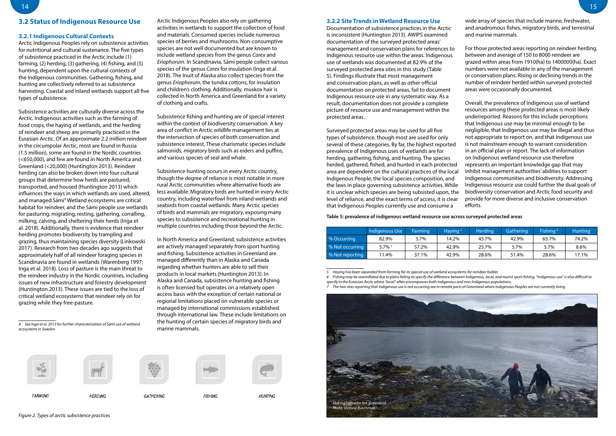### **3.2.2 Site Trends in Wetland Resource Use**

Documentation of subsistence practices in the Arctic is inconsistent (Huntington 2013). AWIPS examined documentation of the surveyed protected areas' management and conservation plans for references to Indigenous resource use within the areas. Indigenous use of wetlands was documented at 82.9% of the surveyed protected area sites in this study (Table 5). Findings illustrate that most management and conservation plans, as well as other official documentation on protected areas, fail to document Indigenous resource use in any systematic way. As a result, documentation does not provide a complete picture of resource use and management within the protected areas.

wide array of species that include marine, freshwater, and anadromous fishes, migratory birds, and terrestrial and marine mammals.

Surveyed protected areas may be used for all five types of subsistence, though most are used for only several of these categories. By far, the highest reported prevalence of Indigenous uses of wetlands are for herding, gathering, fishing, and hunting. The species herded, gathered, fished, and hunted in each protected area are dependent on the cultural practices of the local Indigenous People, the local species composition, and the laws in place governing subsistence activities. While it is unclear which species are being subsisted upon, the level of reliance, and the exact terms of access, it is clear that Indigenous Peoples currently use and consume a Overall, the prevalence of Indigenous use of wetland resources among these protected areas is most likely underreported. Reasons for this include perceptions that Indigenous use may be minimal enough to be negligible, that Indigenous use may be illegal and thus not appropriate to report on, and that Indigenous use is not mainstream enough to warrant consideration in an official plan or report. The lack of information on Indigenous wetland resource use therefore represents an important knowledge gap that may inhibit management authorities' abilities to support Indigenous communities and biodiversity. Addressing Indigenous resource use could further the dual goals of biodiversity conservation and Arctic food security and provide for more diverse and inclusive conservation efforts.

For those protected areas reporting on reindeer herding, between and average of 150 to 8000 reindeer are grazed within areas from 1910(ha) to 1400000(ha). Exact numbers were not available in any of the management or conservation plans. Rising or declining trends in the number of reindeer herded within surveyed protected areas were occasionally documented.

## **3.2 Status of Indigenous Resource Use**

## **3.2.1 Indigenous Cultural Contexts**

Arctic Indigenous Peoples rely on subsistence activities for nutritional and cultural sustenance. The five types of subsistence practiced in the Arctic include (1) farming, (2) herding, (3) gathering, (4) fishing, and (5) hunting, dependent upon the cultural contexts of the Indigenous communities. Gathering, fishing, and hunting are collectively referred to as subsistence harvesting. Coastal and inland wetlands support all five types of subsistence.

Subsistence activities are culturally diverse across the Arctic. Indigenous activities such as the farming of food crops, the haying of wetlands, and the herding of reindeer and sheep are primarily practiced in the Eurasian Arctic. Of an approximate 2.2 million reindeer in the circumpolar Arctic, most are found in Russia (1.5 million), some are found in the Nordic countries (<650,000), and few are found in North America and Greenland (<20,000) (Huntington 2013). Reindeer herding can also be broken down into four cultural groups that determine how herds are pastured, transported, and housed (Huntington 2013) which influences the ways in which wetlands are used, altered, and managed. Sámi<sup>4</sup> Wetland ecosystems are critical habitat for reindeer, and the Sámi people use wetlands for pasturing, migrating, resting, gathering, corralling, milking, calving, and sheltering their herds (Inga et al. 2018). Additionally, there is evidence that reindeer herding promotes biodiversity by trampling and grazing, thus maintaining species diversity (Linkowski 2017). Research from two decades ago suggests that approximately half of all reindeer foraging species in Scandinavia are found in wetlands (Warenberg 1997; Inga et al. 2018). Loss of pasture is the main threat to the reindeer industry in the Nordic countries, including issues of new infrastructure and forestry development (Huntington 2013). These issues are tied to the loss of critical wetland ecosystems that reindeer rely on for grazing while they free-pasture.

*4 See Inga et al. 2013 for further characterization of Sámi use of wetland ecosystems in Sweden.*



**FARMING** 











**HERDING** 

**GATHERING** 

**FISHING** 

Arctic Indigenous Peoples also rely on gathering activities in wetlands to support the collection of food and materials. Consumed species include numerous species of berries and mushrooms. Non-consumptive species are not well documented but are known to include wetland species from the genus *Carex* and *Eriophorum*. In Scandinavia, Sámi people collect various species of the genus *Carex* for insulation (Inga et al. 2018). The Inuit of Alaska also collect species from the genus *Eriophorum*, the tundra cottons, for insulation and children's clothing. Additionally, muskox hair is collected in North America and Greenland for a variety

of clothing and crafts.



**HUNTING** 

Subsistence fishing and hunting are of special interest within the context of biodiversity conservation. A key area of conflict in Arctic wildlife management lies at the intersection of species of both conservation and subsistence interest. These charismatic species include salmonids, migratory birds such as eiders and puffins,

and various species of seal and whale.

Subsistence hunting occurs in every Arctic country, though the degree of reliance is most notable in more rural Arctic communities where alternative foods are less available. Migratory birds are hunted in every Arctic country, including waterfowl from inland wetlands and seabirds from coastal wetlands. Many Arctic species of birds and mammals are migratory, exposing many species to subsistence and recreational hunting in multiple countries including those beyond the Arctic.

In North America and Greenland, subsistence activities are actively managed separately from sport hunting and fishing. Subsistence activities in Greenland are managed differently than in Alaska and Canada regarding whether hunters are able to sell their products in local markets (Huntington 2013). In Alaska and Canada, subsistence hunting and fishing is often licensed but operates on a relatively open access basis with the exception of certain national or regional limitations placed on vulnerable species or managed by international commissions established through international law. These include limitations on the hunting of certain species of migratory birds and

marine mammals.



## **Table 5: prevalence of indigenous wetland resource use across surveyed protected areas**

|                 | Indigenous Use | Farming | Haying <sup>5</sup> | Herding | Gathering | Fishing <sup>6</sup> | <b>Hunting</b> |
|-----------------|----------------|---------|---------------------|---------|-----------|----------------------|----------------|
| % Occurring     | 82.9%          | 5.7%    | 14.2%               | 45.7%   | 42.9%     | 65.7%                | 74.2%          |
| % Not occurring | $5.7\%$ $^7$   | 57.2%   | 42.9%               | 25.7%   | 5.7%      | 5.7%                 | 8.6%           |
| % Not reporting | $1.4\%$        | 37.1%   | 42.9%               | 28.6%   | 51.4%     | 28.6%                | 17.1%          |

*5 Haying has been separated from farming for its special use of wetland ecosystems for reindeer fodder.*

*6 Fishing may be overinflated due to plans failing to specify the difference between Indigenous, local, and tourist sport fishing. "Indigenous use" is also difficult to specify in the Eurasian Arctic where "local" often encompasses both Indigenous and non-Indigenous populations.*

*7 The two sites reporting that Indigenous use is not occurring are in remote parts of Greenland where Indigenous Peoples are not currently living.*

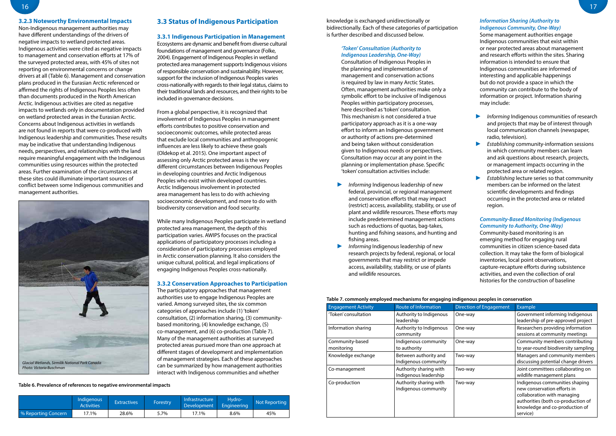knowledge is exchanged unidirectionally or bidirectionally. Each of these categories of participation is further described and discussed below.

## *'Token' Consultation (Authority to Indigenous Leadership, One-Way)*

Consultation of Indigenous Peoples in the planning and implementation of management and conservation actions is required by law in many Arctic States. Often, management authorities make only a symbolic effort to be inclusive of Indigenous Peoples within participatory processes, here described as 'token' consultation. This mechanism is not considered a true participatory approach as it is a one-way effort to inform an Indigenous government or authority of actions pre-determined and being taken without consideration given to Indigenous needs or perspectives. Consultation may occur at any point in the planning or implementation phase. Specific 'token' consultation activities include:

- ► *Informing* Indigenous leadership of new federal, provincial, or regional management and conservation efforts that may impact (restrict) access, availability, stability, or use of plant and wildlife resources. These efforts may include predetermined management actions such as reductions of quotas, bag-takes, hunting and fishing seasons, and hunting and fishing areas.
- ► *Informing* Indigenous leadership of new research projects by federal, regional, or local governments that may restrict or impede access, availability, stability, or use of plants and wildlife resources.
- Informing Indigenous communities of research and projects that may be of interest through local communication channels (newspaper, radio, television).
- ► *Establishing* community-information sessions in which community members can learn and ask questions about research, projects, or management impacts occurring in the protected area or related region.
- ► *Establishing* lecture series so that community members can be informed on the latest scientific developments and findings occurring in the protected area or related region.

## *Information Sharing (Authority to Indigenous Community, One-Way)*

Some management authorities engage Indigenous communities that exist within or near protected areas about management and research efforts within the sites. Sharing information is intended to ensure that Indigenous communities are informed of interesting and applicable happenings but do not provide a space in which the community can contribute to the body of information or project. Information sharing may include:

## *Community-Based Monitoring (Indigenous Community to Authority, One-Way)*

Community-based monitoring is an emerging method for engaging rural communities in citizen science-based data collection. It may take the form of biological inventories, local point observations, capture-recapture efforts during subsistence activities, and even the collection of oral histories for the construction of baseline

## **3.2.3 Noteworthy Environmental Impacts**

Non-Indigenous management authorities may have different understandings of the drivers of negative impacts to wetland protected areas. Indigenous activities were cited as negative impacts to management and conservation efforts at 17% of the surveyed protected areas, with 45% of sites not reporting on environmental concerns or change drivers at all (Table 6). Management and conservation plans produced in the Eurasian Arctic referenced or affirmed the rights of Indigenous Peoples less often than documents produced in the North American Arctic. Indigenous activities are cited as negative impacts to wetlands only in documentation provided on wetland protected areas in the Eurasian Arctic. Concerns about Indigenous activities in wetlands are not found in reports that were co-produced with Indigenous leadership and communities. These results may be indicative that understanding Indigenous needs, perspectives, and relationships with the land require meaningful engagement with the Indigenous communities using resources within the protected areas. Further examination of the circumstances at these sites could illuminate important sources of conflict between some Indigenous communities and management authorities.

## **3.3 Status of Indigenous Participation**

### **3.3.1 Indigenous Participation in Management**

Ecosystems are dynamic and benefit from diverse cultural foundations of management and governance (Folke, 2004). Engagement of Indigenous Peoples in wetland protected area management supports Indigenous visions of responsible conservation and sustainability. However, support for the inclusion of Indigenous Peoples varies cross-nationally with regards to their legal status, claims to their traditional lands and resources, and their rights to be included in governance decisions.

From a global perspective, it is recognized that involvement of Indigenous Peoples in management efforts contributes to positive conservation and socioeconomic outcomes, while protected areas that exclude local communities and anthropogenic influences are less likely to achieve these goals (Oldekop et al. 2015). One important aspect of assessing only Arctic protected areas is the very different circumstances between Indigenous Peoples in developing countries and Arctic Indigenous Peoples who exist within developed countries. Arctic Indigenous involvement in protected area management has less to do with achieving socioeconomic development, and more to do with biodiversity conservation and food security.

While many Indigenous Peoples participate in wetland protected area management, the depth of this participation varies. AWIPS focuses on the practical applications of participatory processes including a consideration of participatory processes employed in Arctic conservation planning. It also considers the unique cultural, political, and legal implications of engaging Indigenous Peoples cross-nationally.

#### **3.3.2 Conservation Approaches to Participation**

The participatory approaches that management authorities use to engage Indigenous Peoples are varied. Among surveyed sites, the six common categories of approaches include (1) 'token' consultation, (2) information sharing, (3) communitybased monitoring, (4) knowledge exchange, (5) co-management, and (6) co-production (Table 7). Many of the management authorities at surveyed protected areas pursued more than one approach at different stages of development and implementation of management strategies. Each of these approaches can be summarized by how management authorities interact with Indigenous communities and whether

#### **Table 6. Prevalence of references to negative environmental impacts**

|                      | Indigenous<br><b>Activities</b> | <b>Extractives</b> | Forestry | Infrastructure<br>Development | Hvdro-<br>Engineering | Not Reporting |
|----------------------|---------------------------------|--------------------|----------|-------------------------------|-----------------------|---------------|
| ∣% Reporting Concern | 7.1%                            | 28.6%              | 5.7%     | 17.1%                         | 8.6%                  | 45%           |

## **Table 7. commonly employed mechanisms for engaging indigenous peoples in conservation**

| <b>Engagement Activity</b>    | Route of Information                            | <b>Direction of Engagement</b> | <b>Example</b>                                                                                                                                                                   |
|-------------------------------|-------------------------------------------------|--------------------------------|----------------------------------------------------------------------------------------------------------------------------------------------------------------------------------|
| 'Token' consultation          | Authority to Indigenous<br>leadership           | One-way                        | Government informing Indigenous<br>leadership of pre-approved project                                                                                                            |
| Information sharing           | Authority to Indigenous<br>community            | One-way                        | Researchers providing information<br>sessions at community meetings                                                                                                              |
| Community-based<br>monitoring | Indigenous community<br>to authority            | One-way                        | Community members contributing<br>to year-round biodiversity sampling                                                                                                            |
| Knowledge exchange            | Between authority and<br>Indigenous community   | Two-way                        | Managers and community members<br>discussing potential change drivers                                                                                                            |
| Co-management                 | Authority sharing with<br>Indigenous leadership | Two-way                        | Joint committees collaborating on<br>wildlife management plans                                                                                                                   |
| Co-production                 | Authority sharing with<br>Indigenous community  | Two-way                        | Indigenous communities shaping<br>new conservation efforts in<br>collaboration with managing<br>authorities (both co-production of<br>knowledge and co-production of<br>service) |

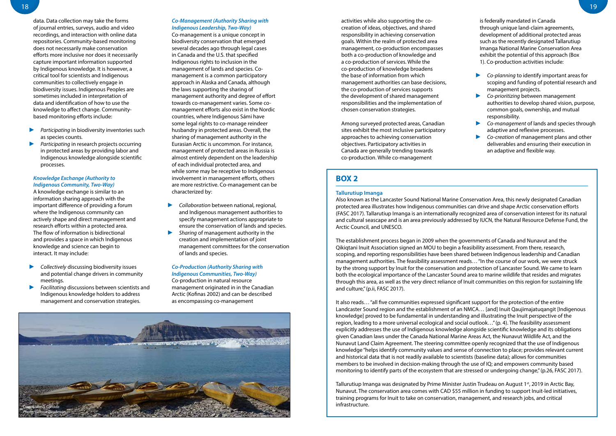activities while also supporting the cocreation of ideas, objectives, and shared responsibility in achieving conservation goals. Within the realm of protected area management, co-production encompasses both a co-production of knowledge and a co-production of services. While the co-production of knowledge broadens the base of information from which management authorities can base decisions, the co-production of services supports the development of shared management responsibilities and the implementation of chosen conservation strategies.

Among surveyed protected areas, Canadian sites exhibit the most inclusive participatory approaches to achieving conservation objectives. Participatory activities in Canada are generally trending towards co-production. While co-management

is federally mandated in Canada through unique land-claim agreements, development of additional protected areas such as the recently designated Tallarutiup Imanga National Marine Conservation Area exhibit the potential of this approach (Box 1). Co-production activities include:

- ► *Co-planning* to identify important areas for scoping and funding of potential research and management projects.
- ► *Co-prioritizing* between management authorities to develop shared vision, purpose, common goals, ownership, and mutual responsibility.
- ► *Co-management* of lands and species through adaptive and reflexive processes.
- ► *Co-creation* of management plans and other deliverables and ensuring their execution in an adaptive and flexible way.

data. Data collection may take the forms of journal entries, surveys, audio and video recordings, and interaction with online data repositories. Community-based monitoring does not necessarily make conservation efforts more inclusive nor does it necessarily capture important information supported by Indigenous knowledge. It is however, a critical tool for scientists and Indigenous communities to collectively engage in biodiversity issues. Indigenous Peoples are sometimes included in interpretation of data and identification of how to use the knowledge to affect change. Communitybased monitoring efforts include:

- ► *Participating* in biodiversity inventories such as species counts.
- Participating in research projects occurring in protected areas by providing labor and Indigenous knowledge alongside scientific processes.

### *Knowledge Exchange (Authority to Indigenous Community, Two-Way)*

A knowledge exchange is similar to an information sharing approach with the important difference of providing a forum where the Indigenous community can actively shape and direct management and research efforts within a protected area. The flow of information is bidirectional and provides a space in which Indigenous knowledge and science can begin to interact. It may include:

- ► *Collectively* discussing biodiversity issues and potential change drivers in community meetings.
- ► *Facilitating* discussions between scientists and Indigenous knowledge holders to address management and conservation strategies.

## *Co-Management (Authority Sharing with Indigenous Leadership, Two-Way)*

Co-management is a unique concept in biodiversity conservation that emerged several decades ago through legal cases in Canada and the U.S. that specified Indigenous rights to inclusion in the management of lands and species. Comanagement is a common participatory approach in Alaska and Canada, although the laws supporting the sharing of management authority and degree of effort towards co-management varies. Some comanagement efforts also exist in the Nordic countries, where Indigenous Sámi have some legal rights to co-manage reindeer husbandry in protected areas. Overall, the sharing of management authority in the Eurasian Arctic is uncommon. For instance, management of protected areas in Russia is almost entirely dependent on the leadership of each individual protected area, and while some may be receptive to Indigenous involvement in management efforts, others are more restrictive. Co-management can be characterized by:

> Tallurutiup Imanga was designated by Prime Minister Justin Trudeau on August 1<sup>st</sup>, 2019 in Arctic Bay, Nunavut. The conservation area comes with CAD \$55 million in funding to support Inuit-led initiatives, training programs for Inuit to take on conservation, management, and research jobs, and critical

- ► *Collaboration* between national, regional, and Indigenous management authorities to specify management actions appropriate to ensure the conservation of lands and species.
- ► *Sharing* of management authority in the creation and implementation of joint management committees for the conservation of lands and species.

## *Co-Production (Authority Sharing with Indigenous Communities, Two-Way)*

Co-production in natural resource management originated in in the Canadian Arctic (Kofinas 2002) and can be described as encompassing co-management

## **BOX 2**

### **Tallurutiup Imanga**

Also known as the Lancaster Sound National Marine Conservation Area, this newly designated Canadian protected area illustrates how Indigenous communities can drive and shape Arctic conservation efforts (FASC 2017). Tallarutiup Imanga is an internationally recognized area of conservation interest for its natural and cultural seascape and is an area previously addressed by IUCN, the Natural Resource Defense Fund, the Arctic Council, and UNESCO.

The establishment process began in 2009 when the governments of Canada and Nunavut and the Qikiqtani Inuit Association signed an MOU to begin a feasibility assessment. From there, research, scoping, and reporting responsibilities have been shared between Indigenous leadership and Canadian management authorities. The feasibility assessment reads… "In the course of our work, we were struck by the strong support by Inuit for the conservation and protection of Lancaster Sound. We came to learn both the ecological importance of the Lancaster Sound area to marine wildlife that resides and migrates through this area, as well as the very direct reliance of Inuit communities on this region for sustaining life and culture," (p.ii, FASC 2017).

It also reads… "all five communities expressed significant support for the protection of the entire Landcaster Sound region and the establishment of an NMCA… [and] Inuit Qaujimajatuqangit [Indigenous knowledge] proved to be fundamental in understanding and illustrating the Inuit perspective of the region, leading to a more universal ecological and social outlook…" (p. 4). The feasibility assessment explicitly addresses the use of Indigenous knowledge alongside scientific knowledge and its obligations given Canadian laws under the Canada National Marine Areas Act, the Nunavut Wildlife Act, and the Nunavut Land Claim Agreement. The steering committee openly recognized that the use of Indigenous knowledge "helps identify community values and sense of connection to place; provides relevant current and historical data that is not readily available to scientists (baseline data); allows for communities members to be involved in decision-making through the use of IQ; and empowers community based monitoring to identify parts of the ecosystem that are stressed or undergoing change," (p.26, FASC 2017).

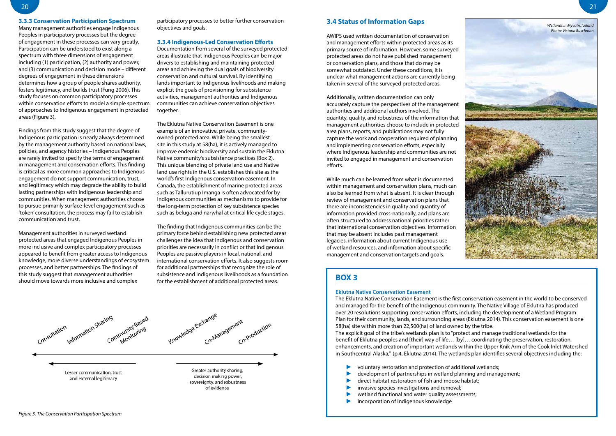## **3.4 Status of Information Gaps**

AWIPS used written documentation of conservation and management efforts within protected areas as its primary source of information. However, some surveyed protected areas do not have published management or conservation plans, and those that do may be somewhat outdated. Under these conditions, it is unclear what management actions are currently being taken in several of the surveyed protected areas.

Additionally, written documentation can only accurately capture the perspectives of the management authorities and additional authors involved. The quantity, quality, and robustness of the information that management authorities choose to include in protected area plans, reports, and publications may not fully capture the work and cooperation required of planning and implementing conservation efforts, especially where Indigenous leadership and communities are not invited to engaged in management and conservation efforts.

While much can be learned from what is documented within management and conservation plans, much can also be learned from what is absent. It is clear through review of management and conservation plans that there are inconsistencies in quality and quantity of information provided cross-nationally, and plans are often structured to address national priorities rather that international conservation objectives. Information that may be absent includes past management legacies, information about current Indigenous use of wetland resources, and information about specific management and conservation targets and goals.

## **3.3.3 Conservation Participation Spectrum**

Many management authorities engage Indigenous Peoples in participatory processes but the degree of engagement in these processes can vary greatly. Participation can be understood to exist along a spectrum with three dimensions of engagement including (1) participation, (2) authority and power, and (3) communication and decision mode – different degrees of engagement in these dimensions determines how a group of people shares authority, fosters legitimacy, and builds trust (Fung 2006). This study focuses on common participatory processes within conservation efforts to model a simple spectrum of approaches to Indigenous engagement in protected areas (Figure 3).

> The Eklutna Native Conservation Easement is the first conservation easement in the world to be conserved and managed for the benefit of the Indigenous community. The Native Village of Eklutna has produced over 20 resolutions supporting conservation efforts, including the development of a Wetland Program Plan for their community, lands, and surrounding areas (Eklutna 2014). This conservation easement is one 58(ha) site within more than 22,500(ha) of land owned by the tribe. The explicit goal of the tribe's wetlands plan is to "protect and manage traditional wetlands for the benefit of Eklutna peoples and [their] way of life… [by]… coordinating the preservation, restoration, enhancements, and creation of important wetlands within the Upper Knik Arm of the Cook Inlet Watershed in Southcentral Alaska," (p.4, Eklutna 2014). The wetlands plan identifies several objectives including the:

- voluntary restoration and protection of additional wetlands;
- development of partnerships in wetland planning and management;
- direct habitat restoration of fish and moose habitat;
- invasive species investigations and removal;
- wetland functional and water quality assessments;
- incorporation of Indigenous knowledge

Findings from this study suggest that the degree of Indigenous participation is nearly always determined by the management authority based on national laws, policies, and agency histories – Indigenous Peoples are rarely invited to specify the terms of engagement in management and conservation efforts. This finding is critical as more common approaches to Indigenous engagement do not support communication, trust, and legitimacy which may degrade the ability to build lasting partnerships with Indigenous leadership and communities. When management authorities choose to pursue primarily surface-level engagement such as 'token' consultation, the process may fail to establish communication and trust.

Management authorities in surveyed wetland protected areas that engaged Indigenous Peoples in more inclusive and complex participatory processes appeared to benefit from greater access to Indigenous knowledge, more diverse understandings of ecosystem processes, and better partnerships. The findings of this study suggest that management authorities should move towards more inclusive and complex

participatory processes to better further conservation objectives and goals.

#### **3.3.4 Indigenous-Led Conservation Efforts**

Documentation from several of the surveyed protected areas illustrate that Indigenous Peoples can be major drivers to establishing and maintaining protected areas and achieving the dual goals of biodiversity conservation and cultural survival. By identifying lands important to Indigenous livelihoods and making explicit the goals of provisioning for subsistence activities, management authorities and Indigenous communities can achieve conservation objectives together.

The Eklutna Native Conservation Easement is one example of an innovative, private, communityowned protected area. While being the smallest site in this study at 58(ha), it is actively managed to improve endemic biodiversity and sustain the Eklutna Native community's subsistence practices (Box 2). This unique blending of private land use and Native land use rights in the U.S. establishes this site as the world's first Indigenous conservation easement. In Canada, the establishment of marine protected areas such as Tallurutiup Imanga is often advocated for by Indigenous communities as mechanisms to provide for the long-term protection of key subsistence species such as beluga and narwhal at critical life cycle stages.

The finding that Indigenous communities can be the primary force behind establishing new protected areas challenges the idea that Indigenous and conservation priorities are necessarily in conflict or that Indigenous Peoples are passive players in local, national, and international conservation efforts. It also suggests room for additional partnerships that recognize the role of subsistence and Indigenous livelihoods as a foundation for the establishment of additional protected areas.



## **BOX 3**

### **Eklutna Native Conservation Easement**

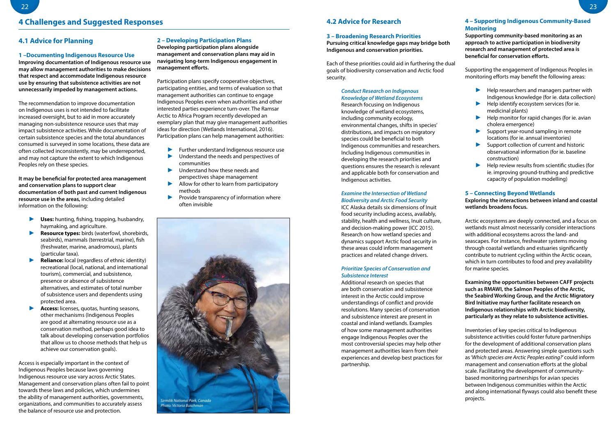22 23

## **4.1 Advice for Planning**

## **1 –Documenting Indigenous Resource Use**

**Improving documentation of Indigenous resource use may allow management authorities to make decisions that respect and accommodate Indigenous resource use by ensuring that subsistence activities are not unnecessarily impeded by management actions.**

The recommendation to improve documentation on Indigenous uses is not intended to facilitate increased oversight, but to aid in more accurately managing non-subsistence resource uses that may impact subsistence activities. While documentation of certain subsistence species and the total abundances consumed is surveyed in some locations, these data are often collected inconsistently, may be underreported, and may not capture the extent to which Indigenous Peoples rely on these species.

**It may be beneficial for protected area management and conservation plans to support clear documentation of both past and current Indigenous resource use in the areas,** including detailed information on the following:

- ► **Uses:** hunting, fishing, trapping, husbandry, haymaking, and agriculture.
- ► **Resource types:** birds (waterfowl, shorebirds, seabirds), mammals (terrestrial, marine), fish (freshwater, marine, anadromous), plants (particular taxa).
- ► **Reliance:** local (regardless of ethnic identity) recreational (local, national, and international tourism), commercial, and subsistence, presence or absence of subsistence alternatives, and estimates of total number of subsistence users and dependents using protected area.
- ► **Access:** licenses, quotas, hunting seasons, other mechanisms (Indigenous Peoples are good at alternating resource use as a conservation method, perhaps good idea to talk about developing conservation portfolios that allow us to choose methods that help us achieve our conservation goals).

Access is especially important in the context of Indigenous Peoples because laws governing Indigenous resource use vary across Arctic States. Management and conservation plans often fail to point towards these laws and policies, which undermines the ability of management authorities, governments, organizations, and communities to accurately assess the balance of resource use and protection.

#### **2 – Developing Participation Plans**

**Developing participation plans alongside management and conservation plans may aid in navigating long-term Indigenous engagement in management efforts.**

Participation plans specify cooperative objectives, participating entities, and terms of evaluation so that management authorities can continue to engage Indigenous Peoples even when authorities and other interested parties experience turn-over. The Ramsar Arctic to Africa Program recently developed an exemplary plan that may give management authorities ideas for direction (Wetlands International, 2016). Participation plans can help management authorities:

- ► Further understand Indigenous resource use
- ► Understand the needs and perspectives of communities
- ► Understand how these needs and perspectives shape management
- Allow for other to learn from participatory methods
- Provide transparency of information where often invisible

## **4 Challenges and Suggested Responses 4.2 Advice for Research**

#### **3 – Broadening Research Priorities**

**Pursuing critical knowledge gaps may bridge both Indigenous and conservation priorities.**

Each of these priorities could aid in furthering the dual goals of biodiversity conservation and Arctic food security.

## *Conduct Research on Indigenous*

*Knowledge of Wetland Ecosystems* Research focusing on Indigenous knowledge of wetland ecosystems, including community ecology, environmental changes, shifts in species' distributions, and impacts on migratory species could be beneficial to both Indigenous communities and researchers. Including Indigenous communities in developing the research priorities and questions ensures the research is relevant and applicable both for conservation and Indigenous activities.

## *Examine the Intersection of Wetland Biodiversity and Arctic Food Security*

ICC Alaska details six dimensions of Inuit food security including access, availably, stability, health and wellness, Inuit culture, and decision-making power (ICC 2015). Research on how wetland species and dynamics support Arctic food security in these areas could inform management practices and related change drivers.

## *Prioritize Species of Conservation and Subsistence Interest*

Additional research on species that are both conservation and subsistence interest in the Arctic could improve understandings of conflict and provide resolutions. Many species of conservation and subsistence interest are present in coastal and inland wetlands. Examples of how some management authorities engage Indigenous Peoples over the most controversial species may help other management authorities learn from their experiences and develop best practices for partnership.

## **4 – Supporting Indigenous Community-Based Monitoring**

**Supporting community-based monitoring as an approach to active participation in biodiversity research and management of protected area is beneficial for conservation efforts.**

Supporting the engagement of Indigenous Peoples in monitoring efforts may benefit the following areas:

- ► Help researchers and managers partner with Indigenous knowledge (for ie. data collection)
- Help identify ecosystem services (for ie. medicinal plants)
- Help monitor for rapid changes (for ie. avian cholera emergence)
- Support year-round sampling in remote locations (for ie. annual inventories)
- Support collection of current and historic observational information (for ie. baseline construction)
- Help review results from scientific studies (for ie. improving ground-truthing and predictive capacity of population modelling)

## **5 – Connecting Beyond Wetlands**

## **Exploring the interactions between inland and coastal wetlands broadens focus.**

Arctic ecosystems are deeply connected, and a focus on wetlands must almost necessarily consider interactions with additional ecosystems across the land- and seascapes. For instance, freshwater systems moving through coastal wetlands and estuaries significantly contribute to nutrient cycling within the Arctic ocean, which in turn contributes to food and prey availability for marine species.

**Examining the opportunities between CAFF projects such as RMAWI, the Salmon Peoples of the Arctic, the Seabird Working Group, and the Arctic Migratory Bird Initiative may further facilitate research on Indigenous relationships with Arctic biodiversity, particularly as they relate to subsistence activities.**

Inventories of key species critical to Indigenous subsistence activities could foster future partnerships for the development of additional conservation plans and protected areas. Answering simple questions such as '*Which species are Arctic Peoples eating?*' could inform management and conservation efforts at the global scale. Facilitating the development of communitybased monitoring partnerships for avian species between Indigenous communities within the Arctic and along international flyways could also benefit these

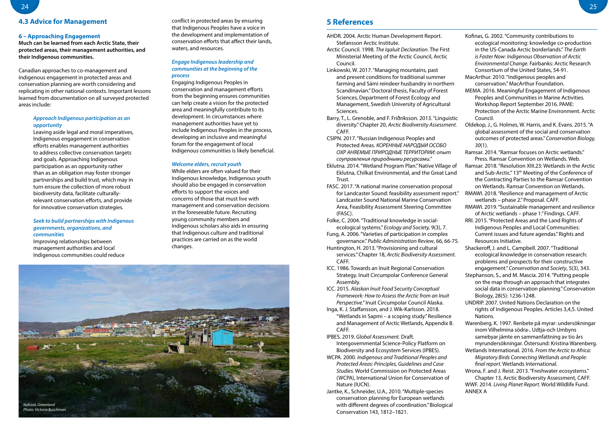## **4.3 Advice for Management**

### **6 – Approaching Engagement**

**Much can be learned from each Arctic State, their protected areas, their management authorities, and their Indigenous communities.** 

Canadian approaches to co-management and Indigenous engagement in protected areas and conservation planning are worth considering and replicating in other national contexts. Important lessons learned from documentation on all surveyed protected areas include:

## *Approach Indigenous participation as an opportunity*

Leaving aside legal and moral imperatives, Indigenous engagement in conservation efforts enables management authorities to address collective conservation targets and goals. Approaching Indigenous participation as an opportunity rather than as an obligation may foster stronger partnerships and build trust, which may in turn ensure the collection of more robust biodiversity data, facilitate culturallyrelevant conservation efforts, and provide for innovative conservation strategies.

## *Seek to build partnerships with Indigenous governments, organizations, and communities*

Improving relationships between management authorities and local Indigenous communities could reduce conflict in protected areas by ensuring that Indigenous Peoples have a voice in the development and implementation of conservation efforts that affect their lands, waters, and resources.

## *Engage Indigenous leadership and communities at the beginning of the process*

Engaging Indigenous Peoples in conservation and management efforts from the beginning ensures communities can help create a vision for the protected area and meaningfully contribute to its development. In circumstances where management authorities have yet to include Indigenous Peoples in the process, developing an inclusive and meaningful forum for the engagement of local Indigenous communities is likely beneficial.

#### *Welcome elders, recruit youth*

While elders are often valued for their Indigenous knowledge, Indigenous youth should also be engaged in conservation efforts to support the voices and concerns of those that must live with management and conservation decisions in the foreseeable future. Recruiting young community members and Indigenous scholars also aids in ensuring that Indigenous culture and traditional practices are carried on as the world changes.

- AHDR. 2004. Arctic Human Development Report. Stefansson Arctic Institute.
- Arctic Council. 1998. *The Iqaluit Declaration*. The First Ministerial Meeting of the Arctic Council, Arctic Council.
- Linkowski, W. 2017. "Managing mountains, past and present conditions for traditional summer farming and Sámi reindeer husbandry in northern Scandinavian." Doctoral thesis, Faculty of Forest Sciences, Department of Forest Ecology and Management, Swedish University of Agricultural Sciences.
- Barry, T., L. Grenoble, and F. Friðriksson. 2013. "Linguistic diversity." Chapter 20, *Arctic Biodiversity Assessment.*  CAFF.
- CSIPN. 2017. "Russian Indigenous Peoples and Protected Areas. *КОРЕННЫЕ НАРОДЫИ ОСОБО ОХР АНЯЕМЫЕ ПРИРОДНЫЕ ТЕРРИТОРИИ: опыт соуправления природными ресурсами."*
- Eklutna. 2014. "Wetland Program Plan." Native Village of Eklutna, Chilkat Environmental, and the Great Land Trust.
- FASC. 2017. "A national marine conservation proposal Landcaster Sound National Marine Conservation Area, Feasibility Assessment Steering Committee (FASC).
- Folke, C. 2004. "Traditional knowledge in socialecological systems." *Ecology and Society,* 9(3), 7.
- Fung, A. 2006. "Varieties of participation in complex governance." *Public Administration Review*, 66, 66-75.
- Huntington, H. 2013. "Provisioning and cultural services." Chapter 18, *Arctic Biodiversity Assessment.* CAFF.
- ICC. 1986. Towards an Inuit Regional Conservation Strategy. Inuit Circumpolar Conference General Assembly.
- ICC. 2015. *Alaskan Inuit Food Security Conceptual Framework: How to Assess the Arctic from an Inuit Perspective."* Inuit Circumpolar Council Alaska.
- Inga, K. J. Staffansson, and J. Wik-Karlsson. 2018. "Wetlands in Sapmi – a scoping study." Resilience and Management of Arctic Wetlands, Appendix B. CAFF.
- IPBES. 2019. *Global Assessment.* Draft. Intergovernmental Science-Policy Platform on Biodiversity and Ecosystem Services (IPBES).
- WCPA. 2000. *Indigenous and Traditional Peoples and Protected Areas: Principles, Guidelines and Case Studies.* World Commission on Protected Areas (WCPA), International Union for Conservation of Nature (IUCN).
- Jantke, K., Schneider, U.A., 2010. "Multiple-species conservation planning for European wetlands with different degrees of coordination." Biological Conservation 143, 1812–1821.
- MacArthur. 2010. "Indigenous peoples and conservation." MacArthur Foundation.
- MEMA. 2016. Meaningful Engagement of Indigenous Peoples and Communities in Marine Activities. Workshop Report September 2016. PAME: Protection of the Arctic Marine Environment. Arctic Council.
- Oldekop, J., G. Holmes, W. Harris, and K. Evans. 2015. "A global assessment of the social and conservation outcomes of protected areas." *Conservation Biology, 30*(1).
- Ramsar. 2014. "Ramsar focuses on Arctic wetlands." Press. Ramsar Convention on Wetlands. Web.
- Ramsar. 2018. "Resolution XIII.23: Wetlands in the Arctic and Sub-Arctic." 13<sup>th</sup> Meeting of the Conference of the Contracting Parties to the Ramsar Convention on Wetlands. Ramsar Convention on Wetlands.
- for Landcaster Sound: feasibility assessment report." RMAWI. 2018. "Resilience and management of Arctic wetlands – phase 2." Proposal. CAFF.
	- RMAWI. 2019. "Sustainable management and resilience of Arctic wetlands – phase 1." Findings. CAFF.
	- RRI. 2015. "Protected Areas and the Land Rights of Indigenous Peoples and Local Communities: Current issues and future agendas." Rights and Resources Initiative.
	- Shackeroff, J. and L. Campbell. 2007. "Traditional ecological knowledge in conservation research: problems and prospects for their constructive engagement." *Conservation and Society*, 5(3), 343.
	- Stephanson, S., and M. Mascia. 2014. "Putting people on the map through an approach that integrates social data in conservation planning." Conservation Biology, 28(5): 1236-1248.
	- UNDRIP. 2007. United Nations Declaration on the rights of Indigenous Peoples. Articles 3,4,5. United Nations.
	- Warenberg, K. 1997. Renbete på myrar: undersökningar inom Vilhelmina södra-, Udtja-och Umbyns samebyar jämte en sammanfattning av tio års myrundersökningar. Östersund: Kristina Warenberg.
	- Wetlands International. 2016. *From the Arctic to Africa: Migratory Birds Connecting Wetlands and People: final report.* Wetlands International.
	- Wrona, F. and J. Reist. 2013. "Freshwater ecosystems." Chapter 13, Arctic Biodiversity Assessment, CAFF. WWF. 2014. *Living Planet Report*. World Wildlife Fund. ANNEX A

## **5 References**

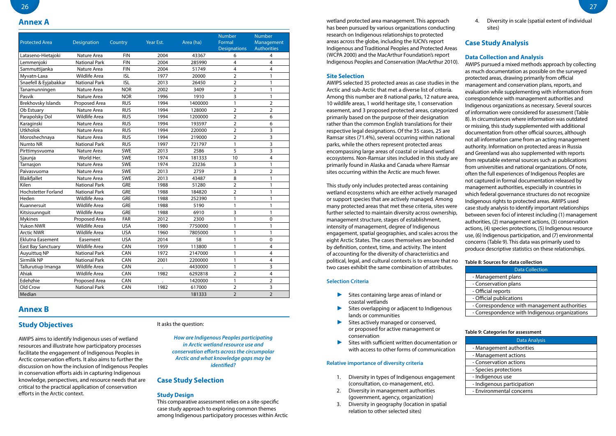## **Study Objectives**

AWIPS aims to identify Indigenous uses of wetland resources and illustrate how participatory processes facilitate the engagement of Indigenous Peoples in Arctic conservation efforts. It also aims to further the discussion on how the inclusion of Indigenous Peoples in conservation efforts aids in capturing Indigenous knowledge, perspectives, and resource needs that are critical to the practical application of conservation efforts in the Arctic context.

## It asks the question:

*How are Indigenous Peoples participating in Arctic wetland resource use and conservation efforts across the circumpolar Arctic and what knowledge gaps may be identified?*

## **Case Study Selection**

## **Study Design**

This comparative assessment relies on a site-specific case study approach to exploring common themes among Indigenous participatory processes within Arctic

**Annex A** wetland protected area management. This approach has been pursued by various organizations conducting research on Indigenous relationships to protected areas across the globe, including the IUCN's report Indigenous and Traditional Peoples and Protected Areas (WCPA 2000) and the MacArthur Foundation's report Indigenous Peoples and Conservation (MacArthur 2010).

| <b>Protected Area</b>     | <b>Designation</b>   | Country    | Year Est. | Area (ha) | <b>Number</b><br>Formal<br><b>Designations</b> | <b>Number</b><br>Management<br><b>Authorities</b> |
|---------------------------|----------------------|------------|-----------|-----------|------------------------------------------------|---------------------------------------------------|
| Lataseno-Hietajoki        | Nature Area          | <b>FIN</b> | 2004      | 43367     | 6                                              | 4                                                 |
| Lemmenjoki                | <b>National Park</b> | <b>FIN</b> | 2004      | 285990    | 4                                              | $\overline{4}$                                    |
| Sammuttijanka             | Nature Area          | <b>FIN</b> | 2004      | 51749     | 4                                              | 4                                                 |
| Myvatn-Laxa               | <b>Wildlife Area</b> | <b>ISL</b> | 1977      | 20000     | $\overline{2}$                                 | 1                                                 |
| Snaefell & Eyjabakkar     | <b>National Park</b> | <b>ISL</b> | 2013      | 26450     | $\overline{2}$                                 | $\mathbf{1}$                                      |
| Tanamunningen             | Nature Area          | <b>NOR</b> | 2002      | 3409      | $\overline{2}$                                 | $\mathbf{1}$                                      |
| Pasvik                    | Nature Area          | <b>NOR</b> | 1996      | 1910      | 3                                              | 1                                                 |
| <b>Brekhovsky Islands</b> | Proposed Area        | <b>RUS</b> | 1994      | 1400000   | 1                                              | $\overline{a}$                                    |
| Ob Estuary                | Nature Area          | <b>RUS</b> | 1994      | 128000    | $\overline{2}$                                 | $\overline{2}$                                    |
| Parapolsky Dol            | <b>Wildlife Area</b> | <b>RUS</b> | 1994      | 1200000   | $\overline{2}$                                 | 6                                                 |
| Karaginski                | Nature Area          | <b>RUS</b> | 1994      | 193597    | $\overline{2}$                                 | $\boldsymbol{6}$                                  |
| <b>Utkholok</b>           | Nature Area          | <b>RUS</b> | 1994      | 220000    | $\overline{2}$                                 | 3                                                 |
| Moroshechnaya             | Nature Area          | <b>RUS</b> | 1994      | 219000    | $\overline{2}$                                 | 3                                                 |
| Numto NR                  | <b>National Park</b> | <b>RUS</b> | 1997      | 721797    | 1                                              | 3                                                 |
| Pirttimysvuoma            | Nature Area          | <b>SWE</b> | 2013      | 2586      | 5                                              | 3                                                 |
| Sjaunja                   | World Her.           | SWE        | 1974      | 181333    | 10                                             | 4                                                 |
| Tarnasjon                 | Nature Area          | SWE        | 1974      | 23236     | 3                                              | $\mathbf{1}$                                      |
| Paivasvuoma               | Nature Area          | SWE        | 2013      | 2759      | 3                                              | $\overline{2}$                                    |
| Blaikfjallet              | Nature Area          | <b>SWE</b> | 2013      | 43487     | 8                                              | $\mathbf{1}$                                      |
| Kilen                     | <b>National Park</b> | <b>GRE</b> | 1988      | 51280     | $\overline{2}$                                 | 1                                                 |
| Hochstetter Forland       | <b>National Park</b> | GRE        | 1988      | 184820    | $\overline{2}$                                 | 1                                                 |
| Heden                     | <b>Wildlife Area</b> | GRE        | 1988      | 252390    | 1                                              | 1                                                 |
| Kuannersuit               | <b>Wildlife Area</b> | <b>GRE</b> | 1988      | 5190      | $\mathbf{1}$                                   | $\mathbf{1}$                                      |
| Kitsissunnguit            | <b>Wildlife Area</b> | GRE        | 1988      | 6910      | 3                                              | 1                                                 |
| <b>Mykines</b>            | Proposed Area        | FAR        | 2012      | 2300      | $\mathbf{1}$                                   | $\mathbf 0$                                       |
| Yukon NWR                 | <b>Wildlife Area</b> | <b>USA</b> | 1980      | 7750000   | $\mathbf{1}$                                   | $\mathbf{1}$                                      |
| <b>Arctic NWR</b>         | <b>Wildlife Area</b> | <b>USA</b> | 1960      | 7805000   | 1                                              | 1                                                 |
| Eklutna Easement          | Easement             | <b>USA</b> | 2014      | 58        | $\mathbf{1}$                                   | $\Omega$                                          |
| <b>East Bay Sanctuary</b> | <b>Wildlife Area</b> | CAN        | 1959      | 113800    | 1                                              | 4                                                 |
| Auyuittuq NP              | <b>National Park</b> | CAN        | 1972      | 2147000   | 1                                              | 4                                                 |
| Sirmilik NP               | <b>National Park</b> | CAN        | 2001      | 2200000   | 1                                              | 4                                                 |
| Tallurutiup Imanga        | <b>Wildlife Area</b> | CAN        |           | 4430000   | 1                                              | 3                                                 |
| Ahiak                     | <b>Wildlife Area</b> | CAN        | 1982      | 6292818   | $\overline{2}$                                 | $\overline{4}$                                    |
| Edehzhie                  | Proposed Area        | CAN        |           | 1420000   | 1                                              | $\overline{2}$                                    |
| Old Crow                  | <b>National Park</b> | CAN        | 1982      | 617000    | $\overline{2}$                                 | 3                                                 |
| Median                    |                      |            |           | 181333    | $\overline{2}$                                 | $\overline{2}$                                    |

- Sites containing large areas of inland or coastal wetlands
- Sites overlapping or adjacent to Indigenous lands or communities
- Sites actively managed or conserved, or proposed for active management or conservation
- Sites with sufficient written documentation or with access to other forms of communication

# **Annex B**

## **Selection Criteria**

## **Relative importance of diversity criteria**

**Site Selection**  AWIPS selected 35 protected areas as case studies in the Arctic and sub-Arctic that met a diverse list of criteria. Among this number are 8 national parks, 12 nature area, 10 wildlife areas, 1 world heritage site, 1 conservation easement, and 3 proposed protected areas, categorized primarily based on the purpose of their designation rather than the common English translations for their respective legal designations. Of the 35 cases, 25 are Ramsar sites (71.4%), several occurring within national parks, while the others represent protected areas encompassing large areas of coastal or inland wetland ecosystems. Non-Ramsar sites included in this study are primarily found in Alaska and Canada where Ramsar sites occurring within the Arctic are much fewer. This study only includes protected areas containing wetland ecosystems which are either actively managed or support species that are actively managed. Among many protected areas that met these criteria, sites were further selected to maintain diversity across ownership, management structure, stages of establishment, intensity of management, degree of Indigenous engagement, spatial geographies, and scales across the eight Arctic States. The cases themselves are bounded by definition, context, time, and activity. The intent of accounting for the diversity of characteristics and political, legal, and cultural contexts is to ensure that no two cases exhibit the same combination of attributes. produce descriptive statistics on these relationships. **Table 8: Sources for data collection**

- 1. Diversity in types of Indigenous engagement (consultation, co-management, etc).
- 2. Diversity in management authorities (government, agency, organization)
- 3. Diversity in geography (location in spatial relation to other selected sites)

4. Diversity in scale (spatial extent of individual sites)

## **Case Study Analysis**

## **Data Collection and Analysis**

AWIPS pursued a mixed methods approach by collecting as much documentation as possible on the surveyed protected areas, drawing primarily from official management and conservation plans, reports, and evaluation while supplementing with information from correspondence with management authorities and Indigenous organizations as necessary. Several sources of information were considered for assessment (Table 8). In circumstances where information was outdated or missing, this study supplemented with additional documentation from other official sources, although not all information came from an acting management authority. Information on protected areas in Russia and Greenland was also supplemented with reports from reputable external sources such as publications from universities and national organizations. Of note, often the full experiences of Indigenous Peoples are not captured in formal documentation released by management authorities, especially in countries in which federal governance structures do not recognize Indigenous rights to protected areas. AWIPS used case study analysis to identify important relationships between seven foci of interest including (1) management authorities, (2) management actions, (3) conservation actions, (4) species protections, (5) Indigenous resource use, (6) Indigenous participation, and (7) environmental concerns (Table 9). This data was primarily used to

| <b>Data Collection</b>                         |
|------------------------------------------------|
| - Management plans                             |
| - Conservation plans                           |
| - Official reports                             |
| - Official publications                        |
| - Correspondence with management authorities   |
| - Correspondence with Indigenous organizations |

## **Table 9: Categories for assessment**

| <b>Data Analysis</b>       |
|----------------------------|
| - Management authorities   |
| - Management actions       |
| - Conservation actions     |
| - Species protections      |
| - Indigenous use           |
| - Indigenous participation |
| - Environmental concerns   |